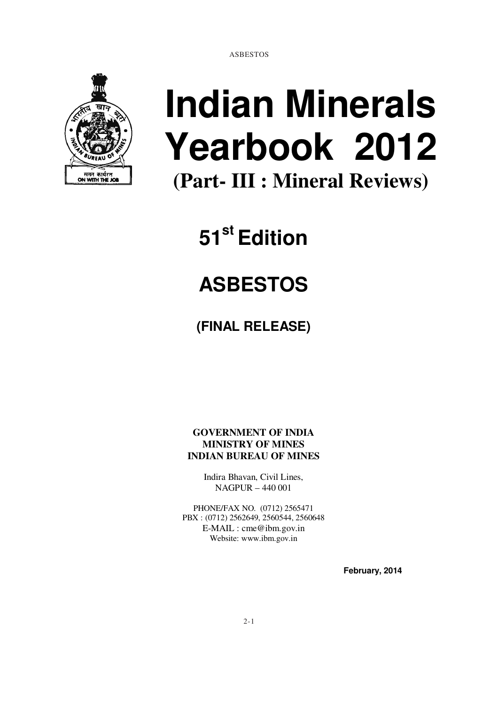ASBESTOS



# **Indian Minerals Yearbook 2012 (Part- III : Mineral Reviews)**

**51st Edition** 

# **ASBESTOS**

**(FINAL RELEASE)** 

**GOVERNMENT OF INDIA MINISTRY OF MINES INDIAN BUREAU OF MINES** 

> Indira Bhavan, Civil Lines, NAGPUR – 440 001

PHONE/FAX NO. (0712) 2565471 PBX : (0712) 2562649, 2560544, 2560648 E-MAIL : cme@ibm.gov.in Website: www.ibm.gov.in

 **February, 2014**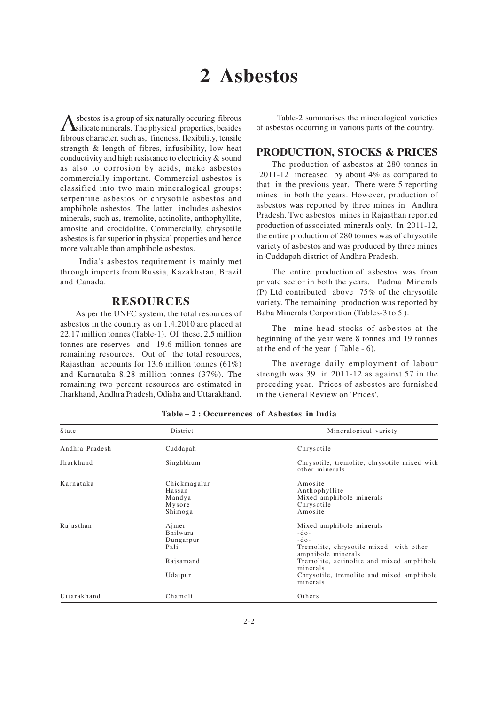A sbestos is a group of six naturally occuring fibrous<br>silicate minerals. The physical properties, besides sbestos is a group of six naturally occuring fibrous fibrous character, such as, fineness, flexibility, tensile strength & length of fibres, infusibility, low heat conductivity and high resistance to electricity & sound as also to corrosion by acids, make asbestos commercially important. Commercial asbestos is classified into two main mineralogical groups: serpentine asbestos or chrysotile asbestos and amphibole asbestos. The latter includes asbestos minerals, such as, tremolite, actinolite, anthophyllite, amosite and crocidolite. Commercially, chrysotile asbestos is far superior in physical properties and hence more valuable than amphibole asbestos.

India's asbestos requirement is mainly met through imports from Russia, Kazakhstan, Brazil and Canada.

#### **RESOURCES**

As per the UNFC system, the total resources of asbestos in the country as on 1.4.2010 are placed at 22.17 million tonnes (Table-1). Of these, 2.5 million tonnes are reserves and 19.6 million tonnes are remaining resources. Out of the total resources, Rajasthan accounts for 13.6 million tonnes (61%) and Karnataka 8.28 million tonnes (37%). The remaining two percent resources are estimated in Jharkhand, Andhra Pradesh, Odisha and Uttarakhand.

 Table-2 summarises the mineralogical varieties of asbestos occurring in various parts of the country.

#### **PRODUCTION, STOCKS & PRICES**

The production of asbestos at 280 tonnes in 2011-12 increased by about 4% as compared to that in the previous year. There were 5 reporting mines in both the years. However, production of asbestos was reported by three mines in Andhra Pradesh. Two asbestos mines in Rajasthan reported production of associated minerals only. In 2011-12, the entire production of 280 tonnes was of chrysotile variety of asbestos and was produced by three mines in Cuddapah district of Andhra Pradesh.

The entire production of asbestos was from private sector in both the years. Padma Minerals (P) Ltd contributed above 75% of the chrysotile variety. The remaining production was reported by Baba Minerals Corporation (Tables-3 to 5 ).

The mine-head stocks of asbestos at the beginning of the year were 8 tonnes and 19 tonnes at the end of the year ( Table - 6).

The average daily employment of labour strength was 39 in 2011-12 as against 57 in the preceding year. Prices of asbestos are furnished in the General Review on 'Prices'.

| State          | District                                                          | Mineralogical variety                                                                                                                                                                                                           |
|----------------|-------------------------------------------------------------------|---------------------------------------------------------------------------------------------------------------------------------------------------------------------------------------------------------------------------------|
| Andhra Pradesh | Cuddapah                                                          | Chrysotile                                                                                                                                                                                                                      |
| Jharkhand      | Singhbhum                                                         | Chrysotile, tremolite, chrysotile mixed with<br>other minerals                                                                                                                                                                  |
| Karnataka      | Chickmagalur<br>Hassan<br>Mandya<br>Mysore<br>Shimoga             | Amosite<br>Anthophyllite<br>Mixed amphibole minerals<br>Chrysotile<br>Amosite                                                                                                                                                   |
| Rajasthan      | $A$ jmer<br>Bhilwara<br>Dungarpur<br>Pali<br>Rajsamand<br>Udaipur | Mixed amphibole minerals<br>$-d$ o-<br>$-do-$<br>Tremolite, chrysotile mixed with other<br>amphibole minerals<br>Tremolite, actinolite and mixed amphibole<br>minerals<br>Chrysotile, tremolite and mixed amphibole<br>minerals |
| Uttarakhand    | Chamoli                                                           | Others                                                                                                                                                                                                                          |

**Table – 2 : Occurrences of Asbestos in India**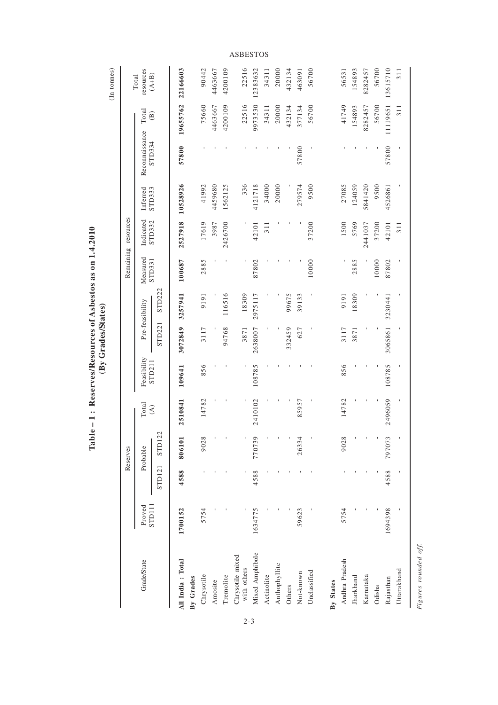|                  |         |               | Reserves |                                |             |         |                 |          | Remaining resources |                  |                |                        |                    |
|------------------|---------|---------------|----------|--------------------------------|-------------|---------|-----------------|----------|---------------------|------------------|----------------|------------------------|--------------------|
|                  | Proved  |               | Probable | Total                          | Feasibility |         | Pre-feasibility | Measured | Indicated           | Inferred         | Reconnaissance | Total                  | resources<br>Total |
|                  | STD111  | <b>STD121</b> | STD122   | $\widehat{\mathcal{L}}$        | STD211      | STD221  | STD222          | STD331   | STD332              | STD333           | STD334         | $\widehat{\mathbf{B}}$ | $(A+B)$            |
| All India: Total | 1700152 | 4588          | 806101   | 510841<br>$\mathbf{\tilde{c}}$ | 109641      | 3072849 | 3257941         | 100687   |                     | 2527918 10528926 | 57800          |                        | 19655762 22166603  |
|                  |         |               |          |                                |             |         |                 |          |                     |                  |                |                        |                    |
|                  | 5754    |               | 9028     | 14782                          | 856         | 3117    | 9191            | 2885     | 17619               | 41992            |                | 75660                  | 90442              |
|                  |         |               |          |                                |             |         |                 |          | 3987                | 4459680          |                | 4463667                | 4463667            |
|                  |         |               |          |                                |             | 94768   | 116516          |          | 2426700             | 1562125          |                | 4200109                | 4200109            |
| Chrysotile mixed |         |               |          |                                |             | 3871    | 18309           |          |                     | 336              |                | 22516                  | 22516              |
| Mixed Amphibole  | 1634775 | 4588          | 770739   | 410102                         | 108785      | 2638007 | 2975117         | 87802    | 42101               | 4121718          |                | 9973530                | 12383632           |
|                  |         |               |          |                                |             |         |                 |          | 311                 | 34000            |                | 34311                  | 34311              |
|                  |         |               |          |                                |             |         |                 |          |                     | 20000            |                | 20000                  | 20000              |
|                  |         |               |          |                                |             | 332459  | 99675           |          |                     |                  |                | 432134                 | 432134             |
|                  | 59623   |               | 26334    | 85957                          |             | 627     | 39133           |          |                     | 279574           | 57800          | 377134                 | 463091             |
|                  |         |               |          |                                |             |         |                 | 10000    | 37200               | 9500             |                | 56700                  | 56700              |
|                  |         |               |          |                                |             |         |                 |          |                     |                  |                |                        |                    |
| Andhra Pradesh   | 5754    |               | 9028     | 14782                          | 856         | 3117    | 9191            |          | 1500                | 27085            |                | 41749                  | 56531              |
|                  |         |               |          |                                |             | 3871    | 18309           | 2885     | 5769                | 124059           |                | 154893                 | 154893             |
|                  |         |               |          |                                |             |         |                 |          | 2441037             | 5841420          |                | 8282457                | 8282457            |
|                  |         |               |          |                                |             |         |                 | 10000    | 37200               | 9500             |                | 56700                  | 56700              |
|                  | 1694398 | 4588          | 797073   | 496059                         | 108785      | 3065861 | 3230441         | 87802    | 42101               | 4526861          | 57800          | 11119651               | 13615710           |
|                  |         |               |          |                                |             |         |                 |          | 311                 |                  |                | 311                    | 311                |

Table – 1: Reserves/Resources of Asbestos as on 1.4.2010<br>(By Grades/States) **Table – 1 : Reserves/Resources of Asbestos as on 1.4.2010 (By Grades/States)**

2-3

Figures rounded off. *Figures rounded off.*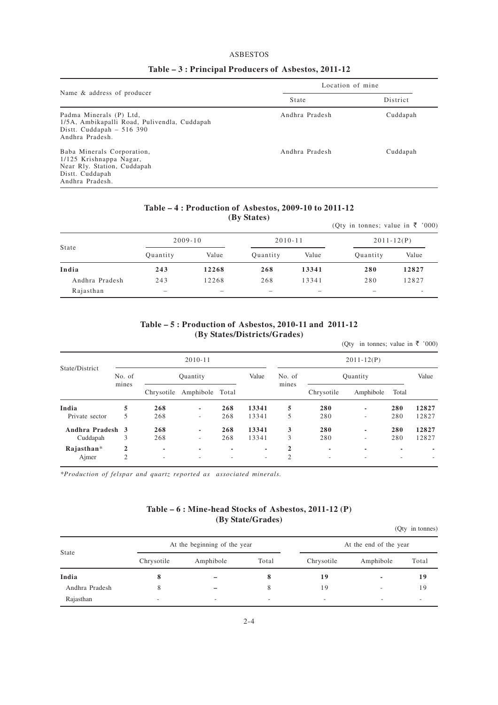#### ASBESTOS

|                                                                                                                            | Location of mine |          |  |
|----------------------------------------------------------------------------------------------------------------------------|------------------|----------|--|
| Name & address of producer                                                                                                 | State            | District |  |
| Padma Minerals (P) Ltd,<br>1/5A, Ambikapalli Road, Pulivendla, Cuddapah<br>Distt. Cuddapah $-516390$<br>Andhra Pradesh     | Andhra Pradesh   | Cuddapah |  |
| Baba Minerals Corporation,<br>1/125 Krishnappa Nagar,<br>Near Rly. Station, Cuddapah<br>Distt. Cuddapah<br>Andhra Pradesh. | Andhra Pradesh   | Cuddapah |  |

#### **Table – 3 : Principal Producers of Asbestos, 2011-12**

#### **Table – 4 : Production of Asbestos, 2009-10 to 2011-12 (By States)**

|                |                          |       | $\mathbf{w}_j$ beaves, |                          | (Qty in tonnes; value in ₹ '000) |                          |
|----------------|--------------------------|-------|------------------------|--------------------------|----------------------------------|--------------------------|
|                | $2009 - 10$              |       | $2010 - 11$            |                          | $2011 - 12(P)$                   |                          |
| State          | Quantity                 | Value | Quantity               | Value                    | Quantity                         | Value                    |
| India          | 243                      | 12268 | 268                    | 13341                    | 280                              | 12827                    |
| Andhra Pradesh | 243                      | 12268 | 268                    | 13341                    | 280                              | 12827                    |
| Rajasthan      | $\overline{\phantom{a}}$ |       |                        | $\overline{\phantom{a}}$ | -                                | $\overline{\phantom{a}}$ |

#### **Table – 5 : Production of Asbestos, 2010-11 and 2011-12 (By States/Districts/Grades)**

(Qty in tonnes; value in  $\overline{\xi}$  '000)

|                  |                 |                          | $2010 - 11$     |     |                          | $2011 - 12(P)$  |            |           |                          |       |
|------------------|-----------------|--------------------------|-----------------|-----|--------------------------|-----------------|------------|-----------|--------------------------|-------|
| State/District   | No. of<br>mines |                          | Quantity        |     | Value                    | No. of<br>mines |            | Ouantity  |                          | Value |
|                  |                 | Chrysotile               | Amphibole Total |     |                          |                 | Chrysotile | Amphibole | Total                    |       |
| India            | 5               | 268                      |                 | 268 | 13341                    | 5               | 280        | ٠         | 280                      | 12827 |
| Private sector   | 5               | 268                      | -               | 268 | 13341                    | 5               | 280        | ٠         | 280                      | 12827 |
| Andhra Pradesh 3 |                 | 268                      |                 | 268 | 13341                    | 3               | 280        | ٠         | 280                      | 12827 |
| Cuddapah         | 3               | 268                      | ۰.              | 268 | 13341                    | 3               | 280        | ٠         | 280                      | 12827 |
| $Rajashan*$      | $\mathbf{2}$    | $\overline{\phantom{a}}$ | ۰               | ٠   | $\overline{\phantom{a}}$ | $\mathbf{2}$    | ٠          | ٠         | $\overline{\phantom{a}}$ |       |
| Ajmer            | $\overline{c}$  | -                        |                 |     | $\overline{\phantom{a}}$ | $\overline{2}$  | -          | ۰         |                          |       |

*\*Production of felspar and quartz reported as associated minerals.*

#### **Table – 6 : Mine-head Stocks of Asbestos, 2011-12 (P) (By State/Grades)**

(Qty in tonnes)

|                |                          | At the beginning of the year |                          |                          | At the end of the year   |       |
|----------------|--------------------------|------------------------------|--------------------------|--------------------------|--------------------------|-------|
| State          | Chrysotile               | Amphibole                    | Total                    | Chrysotile               | Amphibole                | Total |
| India          | о                        |                              |                          | 19                       | $\overline{\phantom{a}}$ | 19    |
| Andhra Pradesh |                          |                              |                          | 19                       | -                        | 19    |
| Rajasthan      | $\overline{\phantom{a}}$ | $\overline{\phantom{a}}$     | $\overline{\phantom{a}}$ | $\overline{\phantom{a}}$ | -                        | ۰     |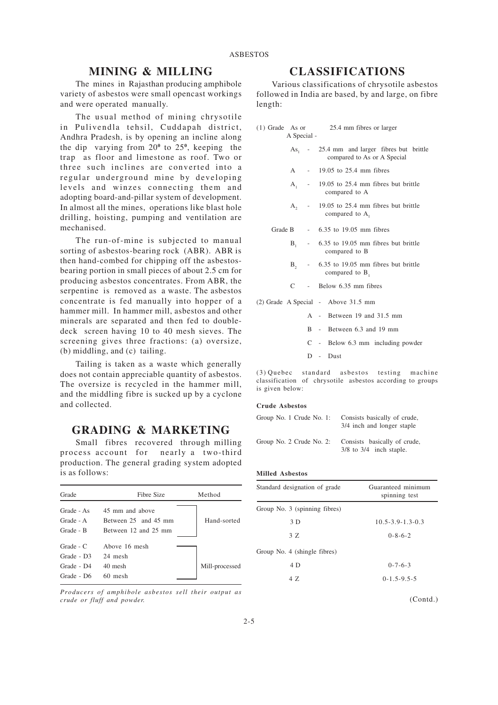#### **MINING & MILLING**

The mines in Rajasthan producing amphibole variety of asbestos were small opencast workings and were operated manually.

The usual method of mining chrysotile in Pulivendla tehsil, Cuddapah district, Andhra Pradesh, is by opening an incline along the dip varying from  $20^{\circ}$  to  $25^{\circ}$ , keeping the trap as floor and limestone as roof. Two or three such inclines are converted into a regular underground mine by developing levels and winzes connecting them and adopting board-and-pillar system of development. In almost all the mines, operations like blast hole drilling, hoisting, pumping and ventilation are mechanised.

The run-of-mine is subjected to manual sorting of asbestos-bearing rock (ABR). ABR is then hand-combed for chipping off the asbestosbearing portion in small pieces of about 2.5 cm for producing asbestos concentrates. From ABR, the serpentine is removed as a waste. The asbestos concentrate is fed manually into hopper of a hammer mill. In hammer mill, asbestos and other minerals are separated and then fed to doubledeck screen having 10 to 40 mesh sieves. The screening gives three fractions: (a) oversize, (b) middling, and (c) tailing.

Tailing is taken as a waste which generally does not contain appreciable quantity of asbestos. The oversize is recycled in the hammer mill, and the middling fibre is sucked up by a cyclone and collected.

#### **GRADING & MARKETING**

Small fibres recovered through milling process account for nearly a two-third production. The general grading system adopted is as follows:

| Grade                                | Fibre Size                                                      | Method         |
|--------------------------------------|-----------------------------------------------------------------|----------------|
| Grade - As<br>Grade - A<br>Grade - B | 45 mm and above<br>Between 25 and 45 mm<br>Between 12 and 25 mm | Hand-sorted    |
| $Grade - C$                          | Above 16 mesh                                                   |                |
| Grade - D <sub>3</sub>               | 24 mesh                                                         |                |
| Grade - D4                           | 40 mesh                                                         | Mill-processed |
| Grade - D6                           | 60 mesh                                                         |                |

*Producers of amphibole asbestos sell their output as crude or fluff and powder.*

### **CLASSIFICATIONS**

Various classifications of chrysotile asbestos followed in India are based, by and large, on fibre length:

| A Special - | (1) Grade As or 25.4 mm fibres or larger                                   |  |
|-------------|----------------------------------------------------------------------------|--|
|             | As, - 25.4 mm and larger fibres but brittle<br>compared to As or A Special |  |
|             | A - 19.05 to 25.4 mm fibres                                                |  |
|             | $A_1$ - 19.05 to 25.4 mm fibres but brittle<br>compared to A               |  |
|             | $A2 - 19.05$ to 25.4 mm fibres but brittle<br>compared to A,               |  |
|             | Grade B - 6.35 to 19.05 mm fibres                                          |  |
|             | $B_1$ - 6.35 to 19.05 mm fibres but brittle<br>compared to B               |  |
|             | $B2 - 6.35$ to 19.05 mm fibres but brittle<br>compared to $B_1$            |  |
|             | C - Below 6.35 mm fibres                                                   |  |
|             | (2) Grade A Special - Above 31.5 mm                                        |  |
|             | A - Between 19 and 31.5 mm                                                 |  |
|             | B - Between 6.3 and 19 mm                                                  |  |

- C Below 6.3 mm including powder
- D Dust

(3) Quebec standard asbestos testing machine classification of chrysotile asbestos according to groups is given below:

#### **Crude Asbestos**

| Group No. 1 Crude No. 1: | Consists basically of crude,<br>3/4 inch and longer staple  |
|--------------------------|-------------------------------------------------------------|
| Group No. 2 Crude No. 2: | Consists basically of crude,<br>$3/8$ to $3/4$ inch staple. |

#### **Milled Asbestos**

| Standard designation of grade | Guaranteed minimum<br>spinning test |
|-------------------------------|-------------------------------------|
| Group No. 3 (spinning fibres) |                                     |
| 3D                            | $10.5 - 3.9 - 1.3 - 0.3$            |
| 3 Z                           | $0 - 8 - 6 - 2$                     |
| Group No. 4 (shingle fibres)  |                                     |
| 4 D                           | $0 - 7 - 6 - 3$                     |
| 4 7.                          | $0 - 1.5 - 9.5 - 5$                 |
|                               |                                     |

(Contd.)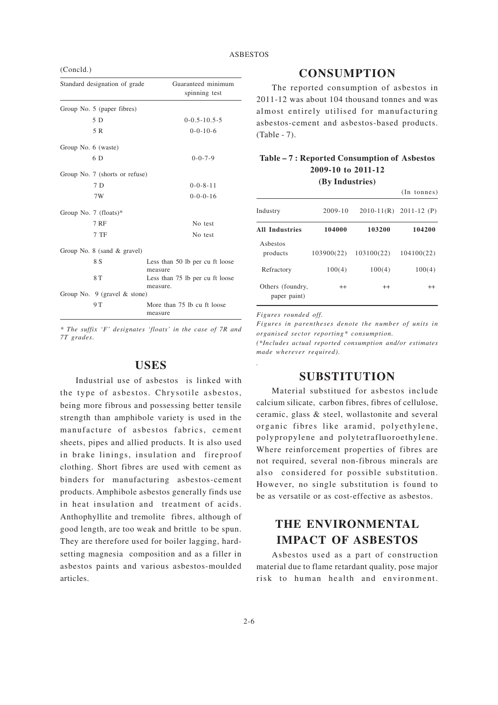(Concld.)

| Standard designation of grade    |          | Guaranteed minimum<br>spinning test |
|----------------------------------|----------|-------------------------------------|
| Group No. 5 (paper fibres)       |          |                                     |
| 5 D                              |          | $0-0.5-10.5-5$                      |
| 5 R                              |          | $0 - 0 - 10 - 6$                    |
| Group No. 6 (waste)              |          |                                     |
| 6 D                              |          | $0 - 0 - 7 - 9$                     |
| Group No. 7 (shorts or refuse)   |          |                                     |
| 7D                               |          | $0 - 0 - 8 - 11$                    |
| 7W                               |          | $0 - 0 - 0 - 16$                    |
| Group No. 7 (floats)*            |          |                                     |
| <b>7 RF</b>                      |          | No test                             |
| 7 TF                             |          | No test                             |
| Group No. $8$ (sand $\&$ gravel) |          |                                     |
| 8 S                              | measure  | Less than 50 lb per cu ft loose     |
| 8 T                              | measure. | Less than 75 lb per cu ft loose     |
| Group No. $9$ (gravel & stone)   |          |                                     |
| 9 T                              | measure  | More than 75 lb cu ft loose         |

*\* The suffix 'F' designates 'floats' in the case of 7R and 7T grades.*

#### **USES**

Industrial use of asbestos is linked with the type of asbestos. Chrysotile asbestos, being more fibrous and possessing better tensile strength than amphibole variety is used in the manufacture of asbestos fabrics, cement sheets, pipes and allied products. It is also used in brake linings, insulation and fireproof clothing. Short fibres are used with cement as binders for manufacturing asbestos-cement products. Amphibole asbestos generally finds use in heat insulation and treatment of acids. Anthophyllite and tremolite fibres, although of good length, are too weak and brittle to be spun. They are therefore used for boiler lagging, hardsetting magnesia composition and as a filler in asbestos paints and various asbestos-moulded articles.

#### **CONSUMPTION**

The reported consumption of asbestos in 2011-12 was about 104 thousand tonnes and was almost entirely utilised for manufacturing asbestos-cement and asbestos-based products. (Table - 7).

#### **Table – 7 : Reported Consumption of Asbestos 2009-10 to 2011-12**

**(By Industries)**

|                                  |             |            | $(In$ tonnes)             |
|----------------------------------|-------------|------------|---------------------------|
| Industry                         | $2009 - 10$ |            | $2010-11(R)$ $2011-12(P)$ |
| <b>All Industries</b>            | 104000      | 103200     | 104200                    |
| Ashestos<br>products             | 103900(22)  | 103100(22) | 104100(22)                |
| Refractory                       | 100(4)      | 100(4)     | 100(4)                    |
| Others (foundry,<br>paper paint) | $^{++}$     | $^{++}$    | $^{++}$                   |

*Figures rounded off.*

*.*

*Figures in parentheses denote the number of units in organised sector reporting\* consumption. (\*Includes actual reported consumption and/or estimates made wherever required).*

#### **SUBSTITUTION**

Material substitued for asbestos include calcium silicate, carbon fibres, fibres of cellulose, ceramic, glass & steel, wollastonite and several organic fibres like aramid, polyethylene, polypropylene and polytetrafluoroethylene. Where reinforcement properties of fibres are not required, several non-fibrous minerals are also considered for possible substitution. However, no single substitution is found to be as versatile or as cost-effective as asbestos.

# **THE ENVIRONMENTAL IMPACT OF ASBESTOS**

Asbestos used as a part of construction material due to flame retardant quality, pose major risk to human health and environment.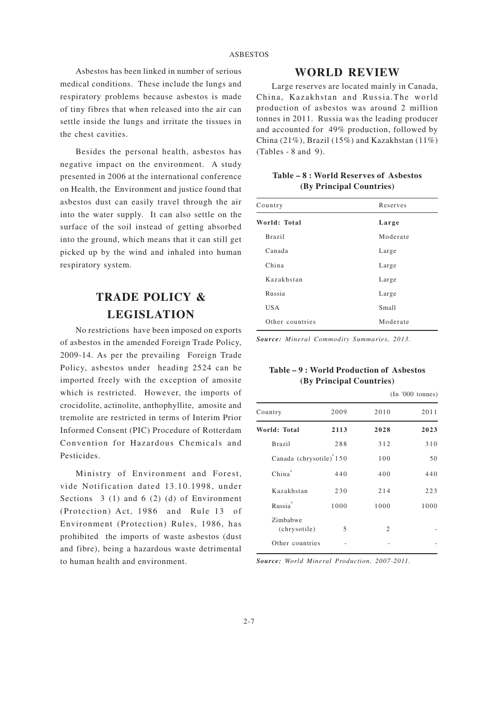Asbestos has been linked in number of serious medical conditions. These include the lungs and respiratory problems because asbestos is made of tiny fibres that when released into the air can settle inside the lungs and irritate the tissues in the chest cavities.

Besides the personal health, asbestos has negative impact on the environment. A study presented in 2006 at the international conference on Health, the Environment and justice found that asbestos dust can easily travel through the air into the water supply. It can also settle on the surface of the soil instead of getting absorbed into the ground, which means that it can still get picked up by the wind and inhaled into human respiratory system.

# **TRADE POLICY & LEGISLATION**

No restrictions have been imposed on exports of asbestos in the amended Foreign Trade Policy, 2009-14. As per the prevailing Foreign Trade Policy, asbestos under heading 2524 can be imported freely with the exception of amosite which is restricted. However, the imports of crocidolite, actinolite, anthophyllite, amosite and tremolite are restricted in terms of Interim Prior Informed Consent (PIC) Procedure of Rotterdam Convention for Hazardous Chemicals and Pesticides.

Ministry of Environment and Forest, vide Notification dated 13.10.1998, under Sections 3 (1) and 6 (2) (d) of Environment (Protection) Act, 1986 and Rule 13 of Environment (Protection) Rules, 1986, has prohibited the imports of waste asbestos (dust and fibre), being a hazardous waste detrimental to human health and environment.

#### **WORLD REVIEW**

Large reserves are located mainly in Canada, China, Kazakhstan and Russia.The world production of asbestos was around 2 million tonnes in 2011. Russia was the leading producer and accounted for 49% production, followed by China (21%), Brazil (15%) and Kazakhstan (11%) (Tables - 8 and 9).

| Table – 8 : World Reserves of Asbestos |  |
|----------------------------------------|--|
| (By Principal Countries)               |  |

| Country         | Reserves |
|-----------------|----------|
| World: Total    | Large    |
| <b>Brazil</b>   | Moderate |
| Canada          | Large    |
| China           | Large    |
| Kazakhstan      | Large    |
| Russia          | Large    |
| <b>USA</b>      | Small    |
| Other countries | Moderate |

*Source: Mineral Commodity Summaries, 2013.*

#### **Table – 9 : World Production of Asbestos (By Principal Countries)**

|      |                                     | (In '000 tonnes) |
|------|-------------------------------------|------------------|
| 2009 | 2010                                | 2011             |
| 2113 | 2028                                | 2023             |
| 288  | 312                                 | 310              |
|      | 100                                 | 50               |
| 440  | 400                                 | 440              |
| 230  | 214                                 | 223              |
| 1000 | 1000                                | 1000             |
| 5    | $\mathfrak{2}$                      |                  |
|      |                                     |                  |
|      | Canada (chrysotile) <sup>°150</sup> |                  |

*Source: World Mineral Production, 2007-2011.*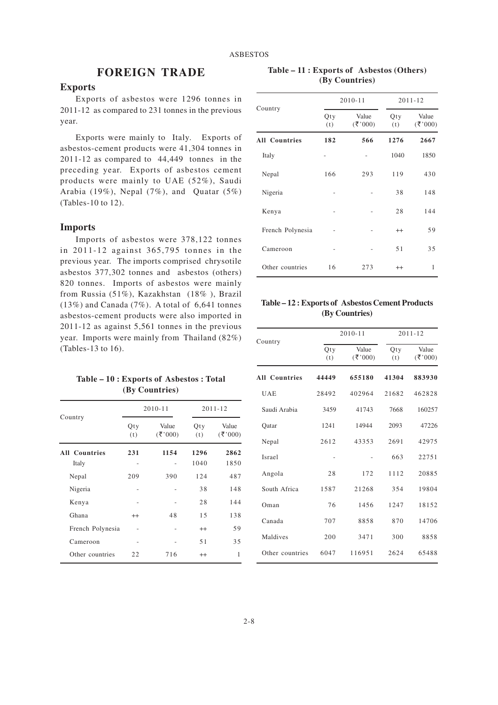## **FOREIGN TRADE**

#### **Exports**

Exports of asbestos were 1296 tonnes in 2011-12 as compared to 231 tonnes in the previous year.

Exports were mainly to Italy. Exports of asbestos-cement products were 41,304 tonnes in 2011-12 as compared to 44,449 tonnes in the preceding year. Exports of asbestos cement products were mainly to UAE (52%), Saudi Arabia (19%), Nepal (7%), and Quatar (5%) (Tables-10 to 12).

#### **Imports**

Imports of asbestos were 378,122 tonnes in 2011-12 against 365,795 tonnes in the previous year. The imports comprised chrysotile asbestos 377,302 tonnes and asbestos (others) 820 tonnes. Imports of asbestos were mainly from Russia (51%), Kazakhstan (18% ), Brazil  $(13\%)$  and Canada  $(7\%)$ . A total of 6,641 tonnes asbestos-cement products were also imported in 2011-12 as against 5,561 tonnes in the previous year. Imports were mainly from Thailand (82%) (Tables-13 to 16).

| Table – 10 : Exports of Asbestos : Total |                |  |  |
|------------------------------------------|----------------|--|--|
|                                          | (By Countries) |  |  |

|                      | $2010 - 11$ |                   | $2011 - 12$ |                   |
|----------------------|-------------|-------------------|-------------|-------------------|
| Country              | Qty<br>(t)  | Value<br>(3, 000) | Qty<br>(t)  | Value<br>(3, 000) |
| <b>All Countries</b> | 231         | 1154              | 1296        | 2862              |
| Italy                |             |                   | 1040        | 1850              |
| Nepal                | 209         | 390               | 124         | 487               |
| Nigeria              |             |                   | 38          | 148               |
| Kenya                |             |                   | 28          | 144               |
| Ghana                | $^{++}$     | 48                | 1.5         | 138               |
| French Polynesia     |             |                   | $^{++}$     | 59                |
| Cameroon             |             |                   | 51          | 35                |
| Other countries      | 22          | 716               | $^{++}$     | 1                 |

**Table – 11 : Exports of Asbestos (Others) (By Countries)**

|                      |            | $2010 - 11$    |            | $2011 - 12$    |  |
|----------------------|------------|----------------|------------|----------------|--|
| Country              | Qty<br>(t) | Value<br>(300) | Qty<br>(t) | Value<br>(300) |  |
| <b>All Countries</b> | 182        | 566            | 1276       | 2667           |  |
| Italy                |            |                | 1040       | 1850           |  |
| Nepal                | 166        | 293            | 119        | 430            |  |
| Nigeria              |            |                | 38         | 148            |  |
| Kenya                |            |                | 28         | 144            |  |
| French Polynesia     |            |                | $^{++}$    | 59             |  |
| Cameroon             |            |                | 51         | 35             |  |
| Other countries      | 16         | 273            | $^{++}$    | 1              |  |

**Table – 12 : Exports of Asbestos Cement Products (By Countries)**

| Country              | $2010 - 11$ |                      | $2011 - 12$ |                       |
|----------------------|-------------|----------------------|-------------|-----------------------|
|                      | Qty<br>(t)  | Value<br>$({}8,000)$ | Qty<br>(t)  | Value<br>$({}^{(3)}C$ |
| <b>All Countries</b> | 44449       | 655180               | 41304       | 883930                |
| <b>UAE</b>           | 28492       | 402964               | 21682       | 462828                |
| Saudi Arabia         | 3459        | 41743                | 7668        | 160257                |
| Oatar                | 1241        | 14944                | 2093        | 47226                 |
| Nepal                | 2612        | 43353                | 2691        | 42975                 |
| Israel               |             |                      | 663         | 22751                 |
| Angola               | 28          | 172                  | 1112        | 20885                 |
| South Africa         | 1587        | 21268                | 354         | 19804                 |
| Oman                 | 76          | 1456                 | 1247        | 18152                 |
| Canada               | 707         | 8858                 | 870         | 14706                 |
| Maldives             | 200         | 3471                 | 300         | 8858                  |
| Other countries      | 6047        | 116951               | 2624        | 65488                 |